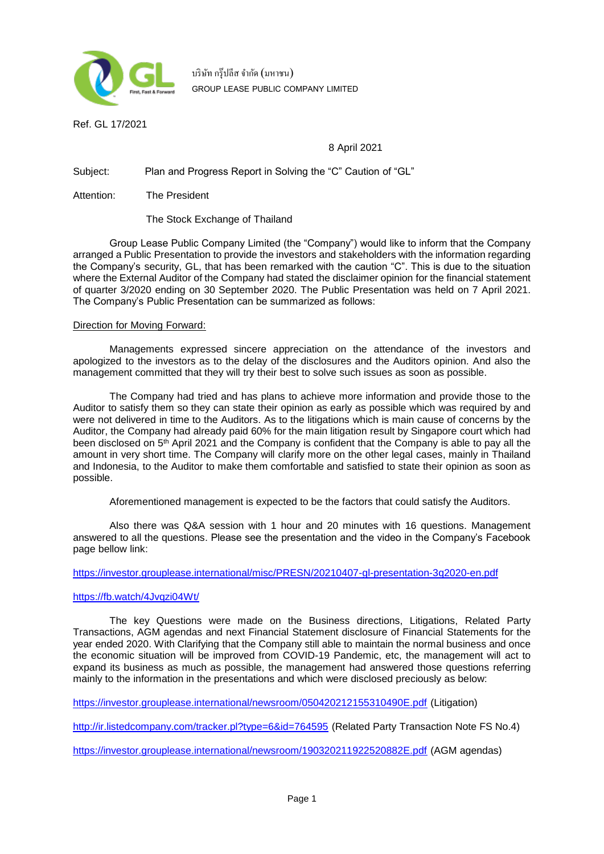

บริษัท กรุ๊ปลีส จำกัด (มหาชน) **GROUP LEASE PUBLIC COMPANY LIMITED**

Ref. GL 17/2021

## 8 April 2021

Subject: Plan and Progress Report in Solving the "C" Caution of "GL"

Attention: The President

The Stock Exchange of Thailand

Group Lease Public Company Limited (the "Company") would like to inform that the Company arranged a Public Presentation to provide the investors and stakeholders with the information regarding the Company's security, GL, that has been remarked with the caution "C". This is due to the situation where the External Auditor of the Company had stated the disclaimer opinion for the financial statement of quarter 3/2020 ending on 30 September 2020. The Public Presentation was held on 7 April 2021. The Company's Public Presentation can be summarized as follows:

## Direction for Moving Forward:

Managements expressed sincere appreciation on the attendance of the investors and apologized to the investors as to the delay of the disclosures and the Auditors opinion. And also the management committed that they will try their best to solve such issues as soon as possible.

The Company had tried and has plans to achieve more information and provide those to the Auditor to satisfy them so they can state their opinion as early as possible which was required by and were not delivered in time to the Auditors. As to the litigations which is main cause of concerns by the Auditor, the Company had already paid 60% for the main litigation result by Singapore court which had been disclosed on 5<sup>th</sup> April 2021 and the Company is confident that the Company is able to pay all the amount in very short time. The Company will clarify more on the other legal cases, mainly in Thailand and Indonesia, to the Auditor to make them comfortable and satisfied to state their opinion as soon as possible.

Aforementioned management is expected to be the factors that could satisfy the Auditors.

Also there was Q&A session with 1 hour and 20 minutes with 16 questions. Management answered to all the questions. Please see the presentation and the video in the Company's Facebook page bellow link:

<https://investor.grouplease.international/misc/PRESN/20210407-gl-presentation-3q2020-en.pdf>

## <https://fb.watch/4Jvqzi04Wt/>

The key Questions were made on the Business directions, Litigations, Related Party Transactions, AGM agendas and next Financial Statement disclosure of Financial Statements for the year ended 2020. With Clarifying that the Company still able to maintain the normal business and once the economic situation will be improved from COVID-19 Pandemic, etc, the management will act to expand its business as much as possible, the management had answered those questions referring mainly to the information in the presentations and which were disclosed preciously as below:

<https://investor.grouplease.international/newsroom/050420212155310490E.pdf> (Litigation)

<http://ir.listedcompany.com/tracker.pl?type=6&id=764595> (Related Party Transaction Note FS No.4)

<https://investor.grouplease.international/newsroom/190320211922520882E.pdf> (AGM agendas)